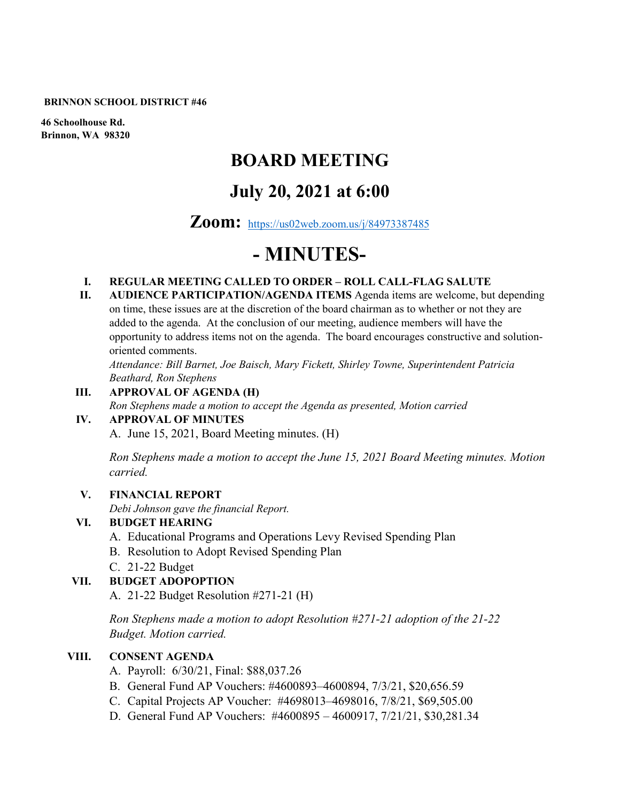#### **BRINNON SCHOOL DISTRICT #46**

**46 Schoolhouse Rd. Brinnon, WA 98320**

# **BOARD MEETING**

# **July 20, 2021 at 6:00**

## **Zoom:** <https://us02web.zoom.us/j/84973387485>

# **- MINUTES-**

#### **I. REGULAR MEETING CALLED TO ORDER – ROLL CALL-FLAG SALUTE**

**II. AUDIENCE PARTICIPATION/AGENDA ITEMS** Agenda items are welcome, but depending on time, these issues are at the discretion of the board chairman as to whether or not they are added to the agenda. At the conclusion of our meeting, audience members will have the opportunity to address items not on the agenda. The board encourages constructive and solutionoriented comments.

*Attendance: Bill Barnet, Joe Baisch, Mary Fickett, Shirley Towne, Superintendent Patricia Beathard, Ron Stephens*

#### **III. APPROVAL OF AGENDA (H)**

*Ron Stephens made a motion to accept the Agenda as presented, Motion carried* 

#### **IV. APPROVAL OF MINUTES**

A. June 15, 2021, Board Meeting minutes. (H)

*Ron Stephens made a motion to accept the June 15, 2021 Board Meeting minutes. Motion carried.*

#### **V. FINANCIAL REPORT**

*Debi Johnson gave the financial Report.* 

#### **VI. BUDGET HEARING**

- A. Educational Programs and Operations Levy Revised Spending Plan
- B. Resolution to Adopt Revised Spending Plan
- C. 21-22 Budget

#### **VII. BUDGET ADOPOPTION**

A. 21-22 Budget Resolution #271-21 (H)

*Ron Stephens made a motion to adopt Resolution #271-21 adoption of the 21-22 Budget. Motion carried.* 

#### **VIII. CONSENT AGENDA**

- A. Payroll: 6/30/21, Final: \$88,037.26
- B. General Fund AP Vouchers: #4600893–4600894, 7/3/21, \$20,656.59
- C. Capital Projects AP Voucher: #4698013–4698016, 7/8/21, \$69,505.00
- D. General Fund AP Vouchers: #4600895 4600917, 7/21/21, \$30,281.34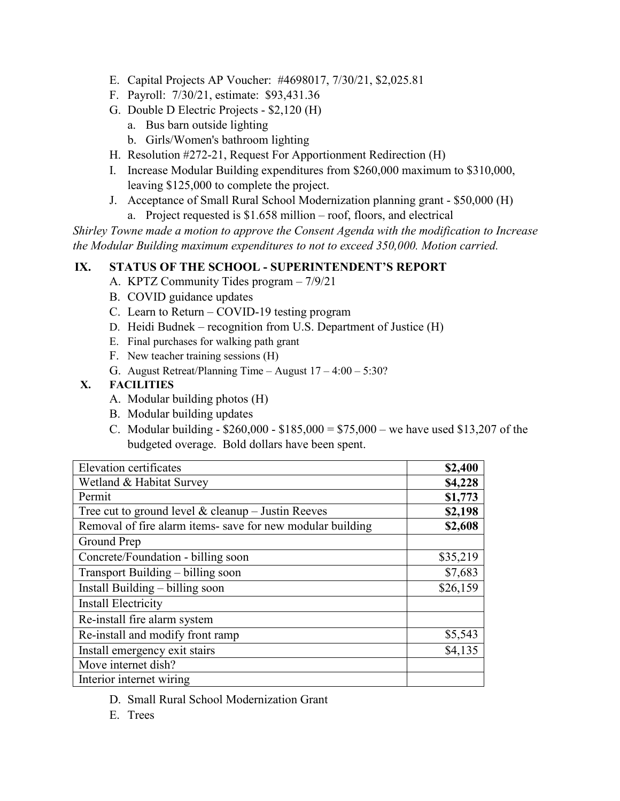- E. Capital Projects AP Voucher: #4698017, 7/30/21, \$2,025.81
- F. Payroll: 7/30/21, estimate: \$93,431.36
- G. Double D Electric Projects \$2,120 (H)
	- a. Bus barn outside lighting
	- b. Girls/Women's bathroom lighting
- H. Resolution #272-21, Request For Apportionment Redirection (H)
- I. Increase Modular Building expenditures from \$260,000 maximum to \$310,000, leaving \$125,000 to complete the project.
- J. Acceptance of Small Rural School Modernization planning grant \$50,000 (H) a. Project requested is \$1.658 million – roof, floors, and electrical

*Shirley Towne made a motion to approve the Consent Agenda with the modification to Increase the Modular Building maximum expenditures to not to exceed 350,000. Motion carried.*

## **IX. STATUS OF THE SCHOOL - SUPERINTENDENT'S REPORT**

- A. KPTZ Community Tides program 7/9/21
- B. COVID guidance updates
- C. Learn to Return COVID-19 testing program
- D. Heidi Budnek recognition from U.S. Department of Justice (H)
- E. Final purchases for walking path grant
- F. New teacher training sessions (H)
- G. August Retreat/Planning Time August 17 4:00 5:30?

#### **X. FACILITIES**

- A. Modular building photos (H)
- B. Modular building updates
- C. Modular building  $$260,000 $185,000 = $75,000$  we have used \$13,207 of the budgeted overage. Bold dollars have been spent.

| Elevation certificates                                     | \$2,400  |
|------------------------------------------------------------|----------|
| Wetland & Habitat Survey                                   | \$4,228  |
| Permit                                                     | \$1,773  |
| Tree cut to ground level $&$ cleanup - Justin Reeves       | \$2,198  |
| Removal of fire alarm items- save for new modular building | \$2,608  |
| Ground Prep                                                |          |
| Concrete/Foundation - billing soon                         | \$35,219 |
| Transport Building – billing soon                          | \$7,683  |
| Install Building – billing soon                            | \$26,159 |
| <b>Install Electricity</b>                                 |          |
| Re-install fire alarm system                               |          |
| Re-install and modify front ramp                           | \$5,543  |
| Install emergency exit stairs                              | \$4,135  |
| Move internet dish?                                        |          |
| Interior internet wiring                                   |          |

- D. Small Rural School Modernization Grant
- E. Trees